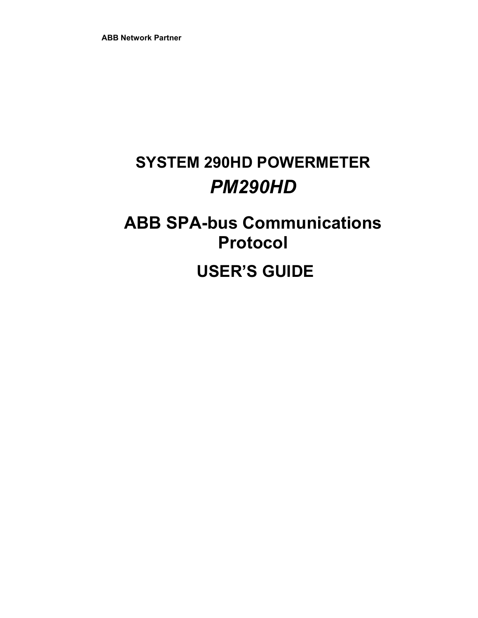# **SYSTEM 290HD POWERMETER**  *PM290HD*

# **ABB SPA-bus Communications Protocol**

 **USER'S GUIDE**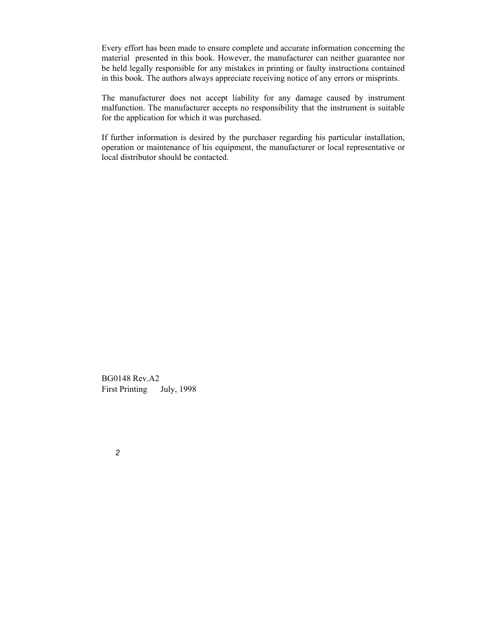Every effort has been made to ensure complete and accurate information concerning the material presented in this book. However, the manufacturer can neither guarantee nor be held legally responsible for any mistakes in printing or faulty instructions contained in this book. The authors always appreciate receiving notice of any errors or misprints.

The manufacturer does not accept liability for any damage caused by instrument malfunction. The manufacturer accepts no responsibility that the instrument is suitable for the application for which it was purchased.

If further information is desired by the purchaser regarding his particular installation, operation or maintenance of his equipment, the manufacturer or local representative or local distributor should be contacted.

BG0148 Rev.A2 First Printing © July, 1998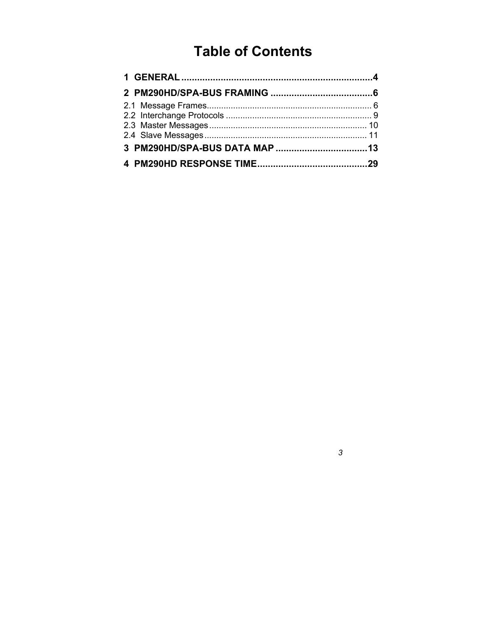## **Table of Contents**

 $\mathfrak{Z}$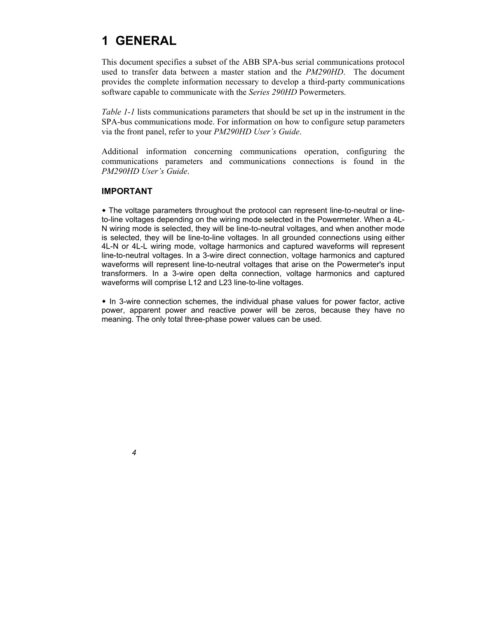## **1 GENERAL**

This document specifies a subset of the ABB SPA-bus serial communications protocol used to transfer data between a master station and the *PM290HD*. The document provides the complete information necessary to develop a third-party communications software capable to communicate with the *Series 290HD* Powermeters.

*Table 1-1* lists communications parameters that should be set up in the instrument in the SPA-bus communications mode. For information on how to configure setup parameters via the front panel, refer to your *PM290HD User's Guide*.

Additional information concerning communications operation, configuring the communications parameters and communications connections is found in the *PM290HD User's Guide*.

#### **IMPORTANT**

 The voltage parameters throughout the protocol can represent line-to-neutral or lineto-line voltages depending on the wiring mode selected in the Powermeter. When a 4L-N wiring mode is selected, they will be line-to-neutral voltages, and when another mode is selected, they will be line-to-line voltages. In all grounded connections using either 4L-N or 4L-L wiring mode, voltage harmonics and captured waveforms will represent line-to-neutral voltages. In a 3-wire direct connection, voltage harmonics and captured waveforms will represent line-to-neutral voltages that arise on the Powermeter's input transformers. In a 3-wire open delta connection, voltage harmonics and captured waveforms will comprise L12 and L23 line-to-line voltages.

• In 3-wire connection schemes, the individual phase values for power factor, active power, apparent power and reactive power will be zeros, because they have no meaning. The only total three-phase power values can be used.

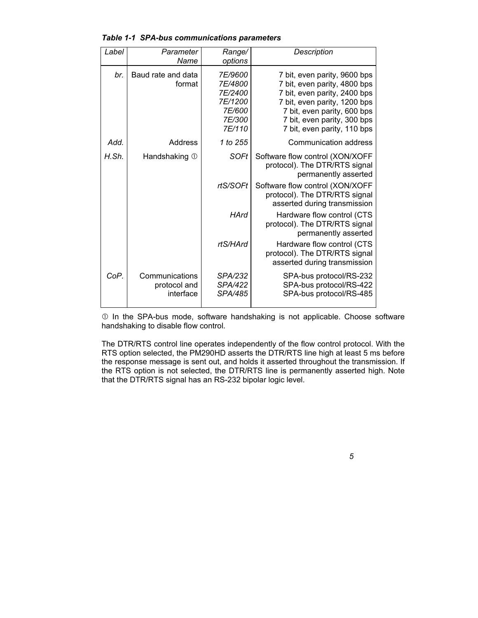| Label | Parameter<br>Name                           | Range/<br>options                                                             | Description                                                                                                                                                                                                               |
|-------|---------------------------------------------|-------------------------------------------------------------------------------|---------------------------------------------------------------------------------------------------------------------------------------------------------------------------------------------------------------------------|
| br.   | Baud rate and data<br>format                | <i>7E/9600</i><br>7E/4800<br>7E/2400<br>7E/1200<br>7E/600<br>7E/300<br>7E/110 | 7 bit, even parity, 9600 bps<br>7 bit, even parity, 4800 bps<br>7 bit, even parity, 2400 bps<br>7 bit, even parity, 1200 bps<br>7 bit, even parity, 600 bps<br>7 bit, even parity, 300 bps<br>7 bit, even parity, 110 bps |
| Add.  | Address                                     | 1 to 255                                                                      | Communication address                                                                                                                                                                                                     |
| H.Sh. | Handshaking 1                               | <b>SOFt</b>                                                                   | Software flow control (XON/XOFF<br>protocol). The DTR/RTS signal<br>permanently asserted                                                                                                                                  |
|       |                                             | rtS/SOFt                                                                      | Software flow control (XON/XOFF<br>protocol). The DTR/RTS signal<br>asserted during transmission                                                                                                                          |
|       |                                             | <b>HArd</b>                                                                   | Hardware flow control (CTS<br>protocol). The DTR/RTS signal<br>permanently asserted                                                                                                                                       |
|       |                                             | rtS/HArd                                                                      | Hardware flow control (CTS<br>protocol). The DTR/RTS signal<br>asserted during transmission                                                                                                                               |
| CoP.  | Communications<br>protocol and<br>interface | SPA/232<br>SPA/422<br>SPA/485                                                 | SPA-bus protocol/RS-232<br>SPA-bus protocol/RS-422<br>SPA-bus protocol/RS-485                                                                                                                                             |

*Table 1-1 SPA-bus communications parameters* 

 $O$  In the SPA-bus mode, software handshaking is not applicable. Choose software handshaking to disable flow control.

The DTR/RTS control line operates independently of the flow control protocol. With the RTS option selected, the PM290HD asserts the DTR/RTS line high at least 5 ms before the response message is sent out, and holds it asserted throughout the transmission. If the RTS option is not selected, the DTR/RTS line is permanently asserted high. Note that the DTR/RTS signal has an RS-232 bipolar logic level.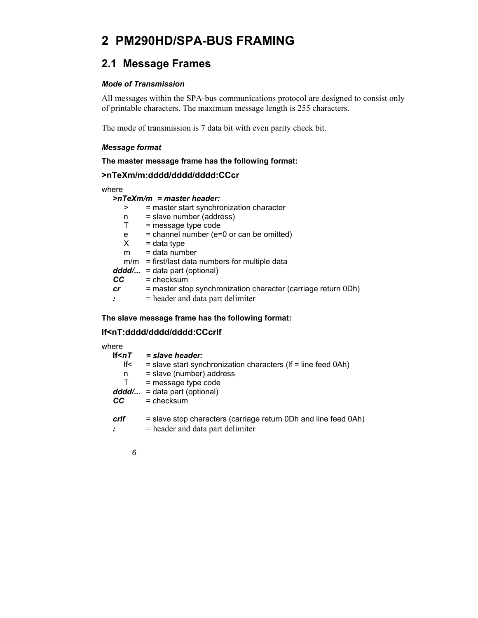## **2 PM290HD/SPA-BUS FRAMING**

## **2.1 Message Frames**

#### *Mode of Transmission*

All messages within the SPA-bus communications protocol are designed to consist only of printable characters. The maximum message length is 255 characters.

The mode of transmission is 7 data bit with even parity check bit.

#### *Message format*

**The master message frame has the following format:** 

#### **>nTeXm/m:dddd/dddd/dddd:CCcr**

where

#### *>nTeXm/m = master header:*

| >  | = master start synchronization character                      |
|----|---------------------------------------------------------------|
| n  | = slave number (address)                                      |
| т  | = message type code                                           |
| е  | $=$ channel number (e=0 or can be omitted)                    |
| X. | $=$ data type                                                 |
| m  | $=$ data number                                               |
|    | $m/m$ = first/last data numbers for multiple data             |
|    | $ddd' = data part (optional)$                                 |
| CC | $=$ checksum                                                  |
| cr | = master stop synchronization character (carriage return 0Dh) |
|    | $=$ header and data part delimiter                            |
|    |                                                               |

#### **The slave message frame has the following format:**

#### **lf<nT:dddd/dddd/dddd:CCcrlf**

| where        |                                                                   |
|--------------|-------------------------------------------------------------------|
| If $\leq nT$ | = slave header:                                                   |
| lf<          | $=$ slave start synchronization characters (If $=$ line feed 0Ah) |
| n            | = slave (number) address                                          |
| т            | $=$ message type code                                             |
| dddd/        | = data part (optional)                                            |
| CC.          | $=$ checksum                                                      |
| crif         | = slave stop characters (carriage return 0Dh and line feed 0Ah)   |
|              | $=$ header and data part delimiter                                |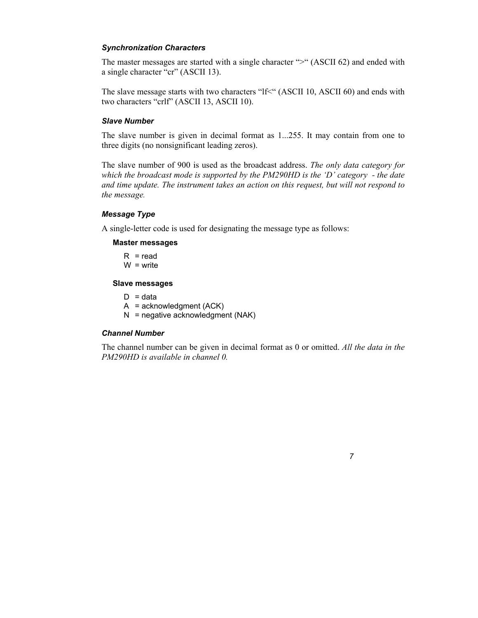#### *Synchronization Characters*

The master messages are started with a single character ">" (ASCII 62) and ended with a single character "cr" (ASCII 13).

The slave message starts with two characters "lf<" (ASCII 10, ASCII 60) and ends with two characters "crlf" (ASCII 13, ASCII 10).

#### *Slave Number*

The slave number is given in decimal format as 1...255. It may contain from one to three digits (no nonsignificant leading zeros).

The slave number of 900 is used as the broadcast address. *The only data category for which the broadcast mode is supported by the PM290HD is the 'D' category - the date and time update. The instrument takes an action on this request, but will not respond to the message.*

#### *Message Type*

A single-letter code is used for designating the message type as follows:

#### **Master messages**

 $R = read$  $W =$  write

#### **Slave messages**

- $D = data$
- $A =$ acknowledgment (ACK)
- $N =$  negative acknowledgment (NAK)

#### *Channel Number*

The channel number can be given in decimal format as 0 or omitted. *All the data in the PM290HD is available in channel 0.* 

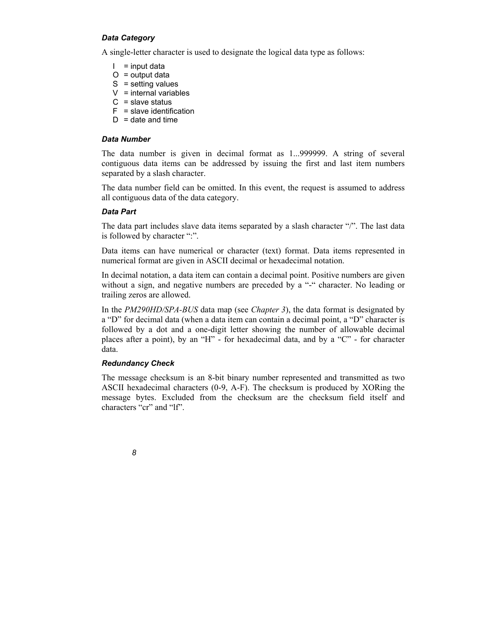#### *Data Category*

A single-letter character is used to designate the logical data type as follows:

- $I = input data$
- $O =$  output data
- $S =$  setting values
- $V =$  internal variables
- $C =$  slave status
- $F =$  slave identification
- $D =$  date and time

#### *Data Number*

The data number is given in decimal format as 1...999999. A string of several contiguous data items can be addressed by issuing the first and last item numbers separated by a slash character.

The data number field can be omitted. In this event, the request is assumed to address all contiguous data of the data category.

#### *Data Part*

The data part includes slave data items separated by a slash character "/". The last data is followed by character ":".

Data items can have numerical or character (text) format. Data items represented in numerical format are given in ASCII decimal or hexadecimal notation.

In decimal notation, a data item can contain a decimal point. Positive numbers are given without a sign, and negative numbers are preceded by a "-" character. No leading or trailing zeros are allowed.

In the *PM290HD/SPA-BUS* data map (see *Chapter 3*), the data format is designated by a "D" for decimal data (when a data item can contain a decimal point, a "D" character is followed by a dot and a one-digit letter showing the number of allowable decimal places after a point), by an "H" - for hexadecimal data, and by a "C" - for character data.

#### *Redundancy Check*

The message checksum is an 8-bit binary number represented and transmitted as two ASCII hexadecimal characters (0-9, A-F). The checksum is produced by XORing the message bytes. Excluded from the checksum are the checksum field itself and characters "cr" and "lf".

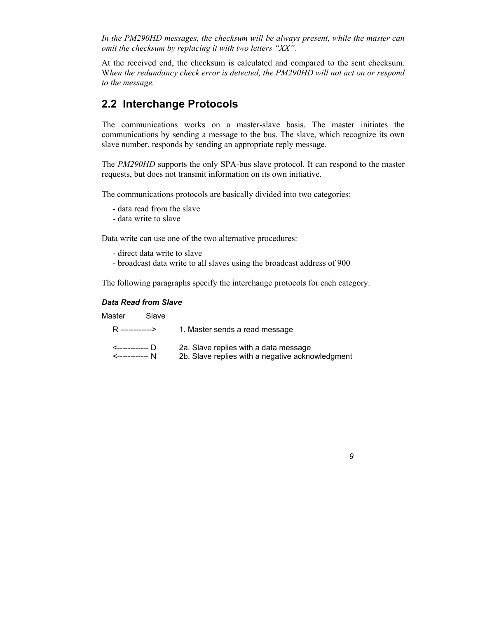*In the PM290HD messages, the checksum will be always present, while the master can omit the checksum by replacing it with two letters "XX".* 

At the received end, the checksum is calculated and compared to the sent checksum. W*hen the redundancy check error is detected, the PM290HD will not act on or respond to the message.*

### **2.2 Interchange Protocols**

The communications works on a master-slave basis. The master initiates the communications by sending a message to the bus. The slave, which recognize its own slave number, responds by sending an appropriate reply message.

The *PM290HD* supports the only SPA-bus slave protocol. It can respond to the master requests, but does not transmit information on its own initiative.

The communications protocols are basically divided into two categories:

- data read from the slave
- data write to slave

Data write can use one of the two alternative procedures:

- direct data write to slave
- broadcast data write to all slaves using the broadcast address of 900

The following paragraphs specify the interchange protocols for each category.

#### *Data Read from Slave*

| Master           | Slave |                                                                                           |
|------------------|-------|-------------------------------------------------------------------------------------------|
| R -------------> |       | 1. Master sends a read message                                                            |
|                  |       | 2a. Slave replies with a data message<br>2b. Slave replies with a negative acknowledgment |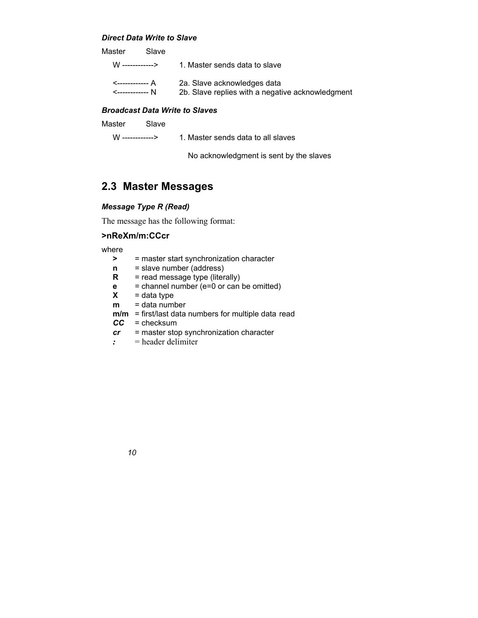#### *Direct Data Write to Slave*

| Master | Slave |                                                                                 |
|--------|-------|---------------------------------------------------------------------------------|
|        |       | 1. Master sends data to slave                                                   |
|        |       | 2a. Slave acknowledges data<br>2b. Slave replies with a negative acknowledgment |

#### *Broadcast Data Write to Slaves*

W -----------> 1. Master sends data to all slaves

No acknowledgment is sent by the slaves

### **2.3 Master Messages**

#### *Message Type R (Read)*

The message has the following format:

#### **>nReXm/m:CCcr**

where

- **>** = master start synchronization character
- **n** = slave number (address)
- **R** = read message type (literally)
- **e** = channel number (e=0 or can be omitted)
- $X = data type$
- **m** = data number
- **m/m** = first/last data numbers for multiple data read
- *CC* = checksum
- *cr* = master stop synchronization character
- *:* = header delimiter

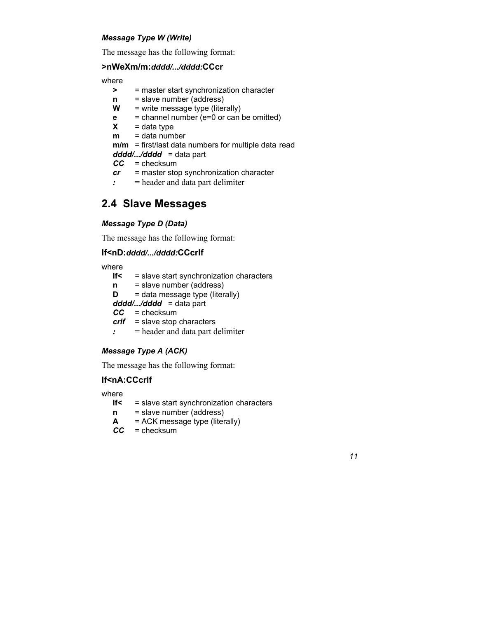#### *Message Type W (Write)*

The message has the following format:

#### **>nWeXm/m:***dddd/.../dddd:***CCcr**

where

- **>** = master start synchronization character
- **n** = slave number (address)
- $W =$  write message type (literally)
- **e** = channel number (e=0 or can be omitted)
- $X = data type$
- **m** = data number
- **m/m** = first/last data numbers for multiple data read
- *dddd/.../dddd* = data part
- *CC* = checksum
- *cr* = master stop synchronization character
- *:* = header and data part delimiter

### **2.4 Slave Messages**

#### *Message Type D (Data)*

The message has the following format:

#### **lf<nD:***dddd/.../dddd:***CCcrlf**

where

- **lf<** = slave start synchronization characters **n** = slave number (address)  $D =$  data message type (literally) *dddd/.../dddd* = data part *CC* = checksum
- *crlf* = slave stop characters
- *:* = header and data part delimiter

#### *Message Type A (ACK)*

The message has the following format:

#### **lf<nA:CCcrlf**

where

**lf<** = slave start synchronization characters

- **n** = slave number (address)
- **A** = ACK message type (literally)
- *CC* = checksum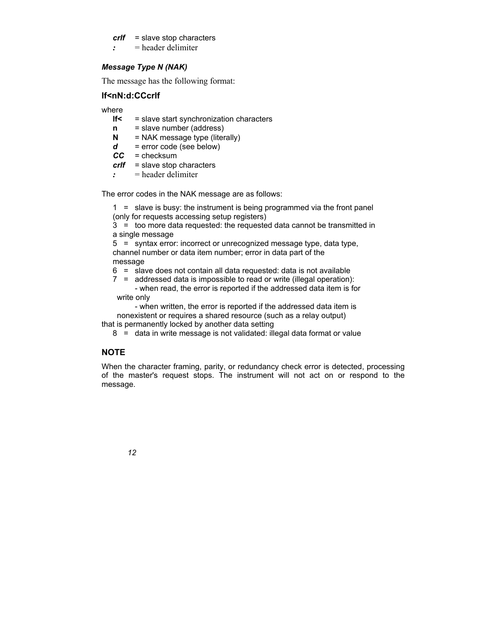#### *crlf* = slave stop characters

*:* = header delimiter

#### *Message Type N (NAK)*

The message has the following format:

#### **lf<nN:d:CCcrlf**

where

- **lf<** = slave start synchronization characters
- **n** = slave number (address)
- **N** = NAK message type (literally)
- $d =$  error code (see below)
- *CC* = checksum
- *crlf* = slave stop characters
- *:* = header delimiter

The error codes in the NAK message are as follows:

 1 = slave is busy: the instrument is being programmed via the front panel (only for requests accessing setup registers)

 3 = too more data requested: the requested data cannot be transmitted in a single message

 5 = syntax error: incorrect or unrecognized message type, data type, channel number or data item number; error in data part of the message

- 6 = slave does not contain all data requested: data is not available
- 7 = addressed data is impossible to read or write (illegal operation): - when read, the error is reported if the addressed data item is for write only

 - when written, the error is reported if the addressed data item is nonexistent or requires a shared resource (such as a relay output) that is permanently locked by another data setting

8 = data in write message is not validated: illegal data format or value

#### **NOTE**

When the character framing, parity, or redundancy check error is detected, processing of the master's request stops. The instrument will not act on or respond to the message.

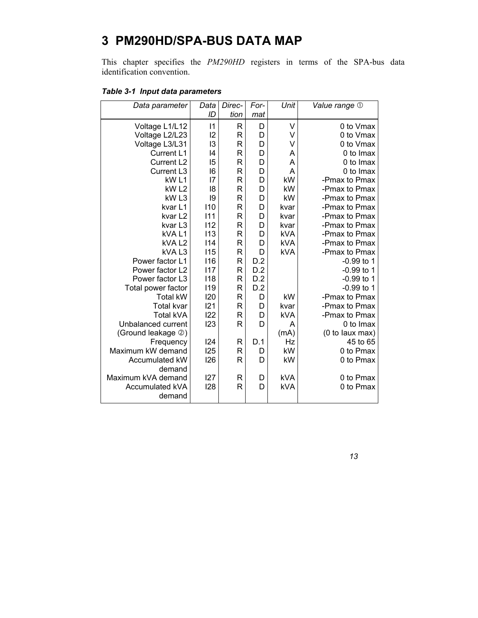## **3 PM290HD/SPA-BUS DATA MAP**

This chapter specifies the *PM290HD* registers in terms of the SPA-bus data identification convention.

| Table 3-1 Input data parameters |
|---------------------------------|
|---------------------------------|

| Data parameter      | Data | Direc-       | For- | Unit       | Value range 1   |
|---------------------|------|--------------|------|------------|-----------------|
|                     | ID   | tion         | mat  |            |                 |
| Voltage L1/L12      | 1    | R            | D    | V          | 0 to Vmax       |
| Voltage L2/L23      | 2    | $\mathsf{R}$ | D    | V          | 0 to Vmax       |
| Voltage L3/L31      | 13   | R            | D    | V          | 0 to Vmax       |
| Current L1          | 14   | $\mathsf{R}$ | D    | A          | 0 to Imax       |
| Current L2          | 15   | R            | D    | A          | 0 to Imax       |
| Current L3          | 16   | R            | D    | Α          | 0 to Imax       |
| kW <sub>L1</sub>    | 17   | $\mathsf{R}$ | D    | kW         | -Pmax to Pmax   |
| kW <sub>L2</sub>    | 18   | R            | D    | kW         | -Pmax to Pmax   |
| kW <sub>L3</sub>    | 19   | $\mathsf{R}$ | D    | kW         | -Pmax to Pmax   |
| kvar L1             | 110  | R            | D    | kvar       | -Pmax to Pmax   |
| kvar L <sub>2</sub> | 111  | R            | D    | kvar       | -Pmax to Pmax   |
| kvar L3             | 112  | R            | D    | kvar       | -Pmax to Pmax   |
| kVAL1               | 113  | R            | D    | <b>kVA</b> | -Pmax to Pmax   |
| kVAL2               | 114  | R            | D    | <b>kVA</b> | -Pmax to Pmax   |
| kVAL3               | 115  | R            | D    | <b>kVA</b> | -Pmax to Pmax   |
| Power factor L1     | 116  | $\mathsf{R}$ | D.2  |            | $-0.99$ to 1    |
| Power factor L2     | 117  | R            | D.2  |            | $-0.99$ to 1    |
| Power factor L3     | 118  | $\mathsf{R}$ | D.2  |            | $-0.99$ to 1    |
| Total power factor  | 119  | R            | D.2  |            | $-0.99$ to 1    |
| <b>Total kW</b>     | 120  | R            | D    | kW         | -Pmax to Pmax   |
| <b>Total kvar</b>   | 121  | R            | D    | kvar       | -Pmax to Pmax   |
| <b>Total kVA</b>    | 122  | $\mathsf{R}$ | D    | <b>kVA</b> | -Pmax to Pmax   |
| Unbalanced current  | 123  | $\mathsf{R}$ | D    | A          | 0 to Imax       |
| (Ground leakage 2)  |      |              |      | (mA)       | (0 to laux max) |
| Frequency           | 124  | R            | D.1  | Hz         | 45 to 65        |
| Maximum kW demand   | 125  | R            | D    | kW         | 0 to Pmax       |
| Accumulated kW      | 126  | R            | D    | kW         | 0 to Pmax       |
| demand              |      |              |      |            |                 |
| Maximum kVA demand  | 127  | R            | D    | <b>kVA</b> | 0 to Pmax       |
| Accumulated kVA     | 128  | R            | D    | kVA        | 0 to Pmax       |
| demand              |      |              |      |            |                 |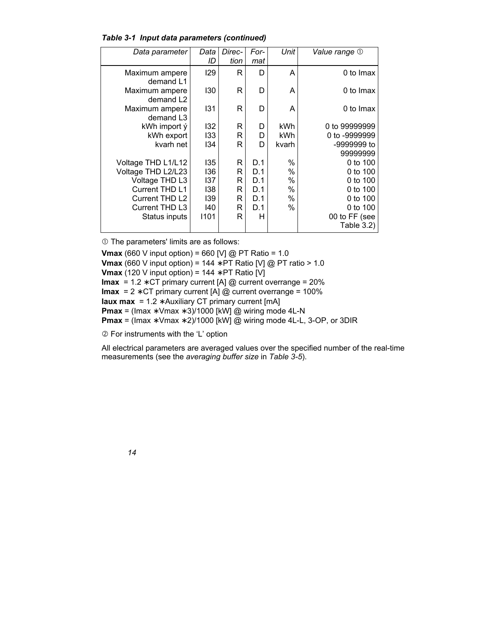|  | Table 3-1 Input data parameters (continued) |  |
|--|---------------------------------------------|--|
|  |                                             |  |

| Data parameter                          | Data<br>ID | Direc-<br>tion | For-<br>mat | Unit  | <b>Value range</b> ①    |
|-----------------------------------------|------------|----------------|-------------|-------|-------------------------|
| Maximum ampere<br>demand L1             | 129        | R              | D           | А     | 0 to Imax               |
| Maximum ampere<br>demand L2             | 130        | R              | D           | A     | 0 to Imax               |
| Maximum ampere<br>demand L <sub>3</sub> | 131        | R              | D           | A     | 0 to Imax               |
| kWh import ý                            | 132        | R              | D           | kWh   | 0 to 99999999           |
| kWh export                              | 133        | R              | D           | kWh   | 0 to -9999999           |
| kvarh net                               | 134        | R              | D           | kvarh | -9999999 to<br>99999999 |
| Voltage THD L1/L12                      | 135        | R              | D.1         | %     | 0 to 100                |
| Voltage THD L2/L23                      | 136        | R              | D.1         | %     | 0 to 100                |
| Voltage THD L3                          | 137        | R              | D.1         | %     | 0 to 100                |
| Current THD L1                          | 138        | R              | D.1         | %     | 0 to 100                |
| Current THD L2                          | 139        | R              | D.1         | %     | 0 to 100                |
| Current THD L3                          | 140        | R              | D.1         | %     | 0 to 100                |
| Status inputs                           | 1101       | R              | н           |       | 00 to FF (see           |
|                                         |            |                |             |       | Table 3.2)              |

 $O$  The parameters' limits are as follows:

**Vmax** (660 V input option) = 660 [V] @ PT Ratio = 1.0 **Vmax** (660 V input option) = 144 ∗ PT Ratio [V] @ PT ratio > 1.0 **Vmax** (120 V input option) = 144 ∗ PT Ratio [V] **Imax** = 1.2 ∗ CT primary current [A] @ current overrange = 20% **Imax** = 2 ∗ CT primary current [A] @ current overrange = 100% **Iaux max** = 1.2 ∗ Auxiliary CT primary current [mA] **Pmax** = (Imax ∗ Vmax ∗ 3)/1000 [kW] @ wiring mode 4L-N **Pmax** = (Imax ∗ Vmax ∗ 2)/1000 [kW] @ wiring mode 4L-L, 3-OP, or 3DIR

d For instruments with the 'L' option

All electrical parameters are averaged values over the specified number of the real-time measurements (see the *averaging buffer size* in *Table 3-5*).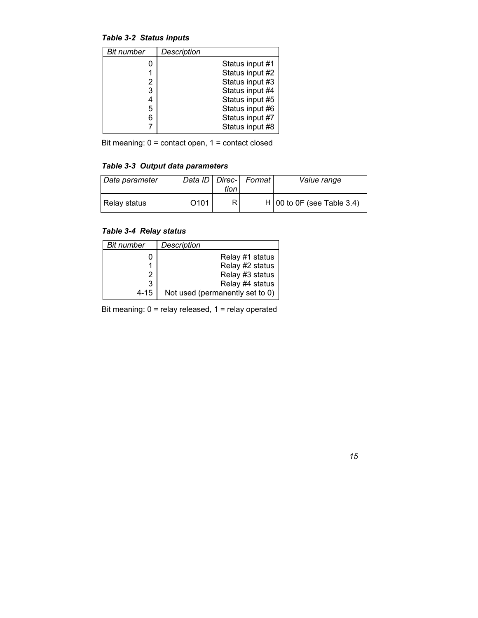*Table 3-2 Status inputs* 

| <b>Bit number</b> | Description     |
|-------------------|-----------------|
|                   | Status input #1 |
|                   | Status input #2 |
| 2                 | Status input #3 |
| 3                 | Status input #4 |
| 4                 | Status input #5 |
| 5                 | Status input #6 |
| 6                 | Status input #7 |
|                   | Status input #8 |

Bit meaning: 0 = contact open, 1 = contact closed

### *Table 3-3 Output data parameters*

| Data parameter |                  | tion | Data ID   Direc-   Format | Value range                  |
|----------------|------------------|------|---------------------------|------------------------------|
| Relay status   | O <sub>101</sub> | R    |                           | $H$ 00 to 0F (see Table 3.4) |

### *Table 3-4 Relay status*

| Bit number | Description                     |
|------------|---------------------------------|
|            | Relay #1 status                 |
|            | Relay #2 status                 |
|            | Relay #3 status                 |
| 3          | Relay #4 status                 |
| 4-15       | Not used (permanently set to 0) |

Bit meaning: 0 = relay released, 1 = relay operated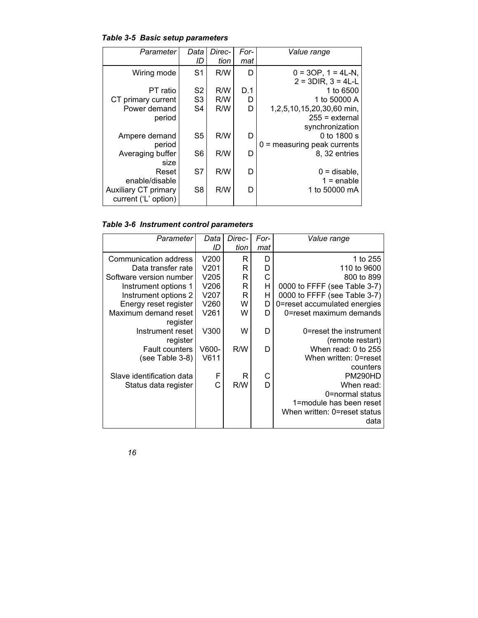| Table 3-5 Basic setup parameters |
|----------------------------------|
|----------------------------------|

| Parameter            | Data           | Direc- | For- | Value range                   |
|----------------------|----------------|--------|------|-------------------------------|
|                      | ID             | tion   | mat  |                               |
| Wiring mode          | S <sub>1</sub> | R/W    | D    | $0 = 3OP$ , $1 = 4L-N$ ,      |
|                      |                |        |      | $2 = 3DIR$ , $3 = 4L-L$       |
| PT ratio             | S <sub>2</sub> | R/W    | D.1  | 1 to 6500                     |
| CT primary current   | S <sub>3</sub> | R/W    | D    | 1 to 50000 A                  |
| Power demand         | S <sub>4</sub> | R/W    | D    | 1,2,5,10,15,20,30,60 min,     |
| period               |                |        |      | $255$ = external              |
|                      |                |        |      | synchronization               |
| Ampere demand        | S <sub>5</sub> | R/W    | D    | 0 to 1800 s                   |
| period               |                |        |      | $0 =$ measuring peak currents |
| Averaging buffer     | S <sub>6</sub> | R/W    | D    | 8, 32 entries                 |
| size                 |                |        |      |                               |
| Reset                | S7             | R/W    | D    | $0 =$ disable,                |
| enable/disable       |                |        |      | $1 =$ enable                  |
| Auxiliary CT primary | S <sub>8</sub> | R/W    | D    | 1 to 50000 mA                 |
| current ('L' option) |                |        |      |                               |

| Parameter                 | Data  | Direc- | For- | Value range                  |
|---------------------------|-------|--------|------|------------------------------|
|                           | ID    | tion   | mat  |                              |
| Communication address     | V200  | R      | D    | 1 to 255                     |
| Data transfer rate        | V201  | R      | D    | 110 to 9600                  |
| Software version number   | V205  | R      | Ć    | 800 to 899                   |
| Instrument options 1      | V206  | R      | H    | 0000 to FFFF (see Table 3-7) |
| Instrument options 2      | V207  | R      | н    | 0000 to FFFF (see Table 3-7) |
| Energy reset register     | V260  | W      | D    | 0=reset accumulated energies |
| Maximum demand reset      | V261  | W      | D    | 0=reset maximum demands      |
| register                  |       |        |      |                              |
| Instrument reset          | V300  | W      | D    | 0=reset the instrument       |
| register                  |       |        |      | (remote restart)             |
| <b>Fault counters</b>     | V600- | R/W    | D    | When read: 0 to 255          |
| (see Table 3-8)           | V611  |        |      | When written: 0=reset        |
|                           |       |        |      | counters                     |
| Slave identification data | F     | R      |      | <b>PM290HD</b>               |
| Status data register      | C     | R/W    | D    | When read:                   |
|                           |       |        |      | 0=normal status              |
|                           |       |        |      | 1=module has been reset      |
|                           |       |        |      | When written: 0=reset status |
|                           |       |        |      | data                         |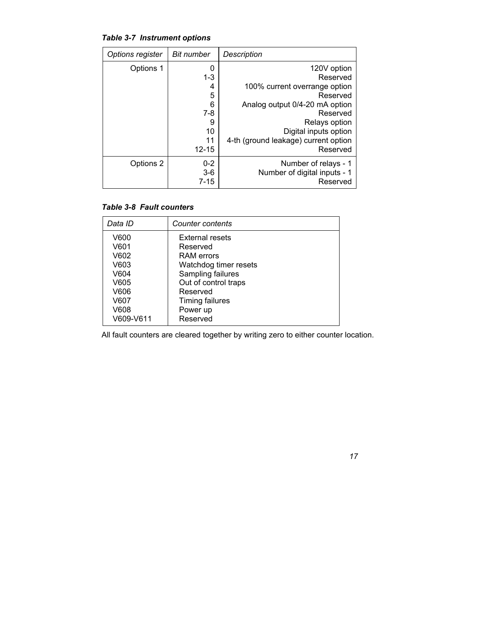*Table 3-7 Instrument options* 

| Options register | <b>Bit number</b>            | Description                                                      |
|------------------|------------------------------|------------------------------------------------------------------|
| Options 1        | 0                            | 120V option                                                      |
|                  | $1 - 3$                      | Reserved                                                         |
|                  | 4                            | 100% current overrange option                                    |
|                  | 5                            | Reserved                                                         |
|                  | 6                            | Analog output 0/4-20 mA option                                   |
|                  | $7-8$                        | Reserved                                                         |
|                  | 9                            | Relays option                                                    |
|                  | 10                           | Digital inputs option                                            |
|                  | 11                           | 4-th (ground leakage) current option                             |
|                  | $12 - 15$                    | Reserved                                                         |
| Options 2        | $0 - 2$<br>$3-6$<br>$7 - 15$ | Number of relays - 1<br>Number of digital inputs - 1<br>Reserved |

#### *Table 3-8 Fault counters*

| Data ID                                              | Counter contents                                                                                                                   |
|------------------------------------------------------|------------------------------------------------------------------------------------------------------------------------------------|
| V600<br>V601<br>V602<br>V603<br>V604<br>V605<br>V606 | <b>External resets</b><br>Reserved<br>RAM errors<br>Watchdog timer resets<br>Sampling failures<br>Out of control traps<br>Reserved |
| V607<br>V608                                         | <b>Timing failures</b><br>Power up                                                                                                 |
|                                                      |                                                                                                                                    |
|                                                      |                                                                                                                                    |
|                                                      |                                                                                                                                    |

All fault counters are cleared together by writing zero to either counter location.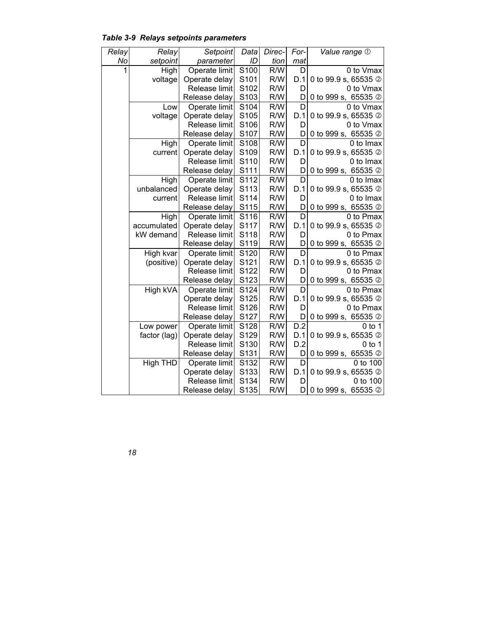| Relay | Relay        | Setpoint      | Data | Direc- | For- | Value range 1                     |
|-------|--------------|---------------|------|--------|------|-----------------------------------|
| No    | setpoint     | parameter     | ID   | tion   | mat  |                                   |
|       | High         | Operate limit | S100 | R/W    | D    | 0 to Vmax                         |
|       | voltage      | Operate delay | S101 | R/W    | D.1  | 0 to 99.9 s, 65535 2              |
|       |              | Release limit | S102 | R/W    | D    | 0 to Vmax                         |
|       |              | Release delay | S103 | R/W    | D    | 0 to 999 s, 65535 2               |
|       | Low          | Operate limit | S104 | R/W    | D    | 0 to Vmax                         |
|       | voltage      | Operate delay | S105 | R/W    | D.1  | 0 to 99.9 s, 65535 2              |
|       |              | Release limit | S106 | R/W    | D    | 0 to Vmax                         |
|       |              | Release delay | S107 | R/W    | D    | 0 to 999 s,<br>65535 <sup>2</sup> |
|       | High         | Operate limit | S108 | R/W    | D    | 0 to Imax                         |
|       | current      | Operate delay | S109 | R/W    | D.1  | 0 to 99.9 s, 65535 2              |
|       |              | Release limit | S110 | R/W    | D    | 0 to Imax                         |
|       |              | Release delay | S111 | R/W    | D    | 0 to 999 s,<br>65535 <sup>2</sup> |
|       | High         | Operate limit | S112 | R/W    | D    | 0 to Imax                         |
|       | unbalanced   | Operate delay | S113 | R/W    | D.1  | 0 to 99.9 s, 65535 2              |
|       | current      | Release limit | S114 | R/W    | D    | 0 to Imax                         |
|       |              | Release delay | S115 | R/W    | D    | 0 to 999 s, 65535 2               |
|       | High         | Operate limit | S116 | R/W    | D    | 0 to Pmax                         |
|       | accumulated  | Operate delay | S117 | R/W    | D.1  | 0 to 99.9 s, 65535 2              |
|       | kW demand    | Release limit | S118 | R/W    | D    | 0 to Pmax                         |
|       |              | Release delay | S119 | R/W    | D    | 0 to 999 s, 65535 2               |
|       | High kvar    | Operate limit | S120 | R/W    | D    | 0 to Pmax                         |
|       | (positive)   | Operate delay | S121 | R/W    | D.1  | 0 to 99.9 s, 65535 2              |
|       |              | Release limit | S122 | R/W    | D    | 0 to Pmax                         |
|       |              | Release delay | S123 | R/W    | D    | 0 to 999 s, 65535 2               |
|       | High kVA     | Operate limit | S124 | R/W    | D    | 0 to Pmax                         |
|       |              | Operate delay | S125 | R/W    | D.1  | 0 to 99.9 s, 65535 2              |
|       |              | Release limit | S126 | R/W    | D    | 0 to Pmax                         |
|       |              | Release delay | S127 | R/W    | D    | 0 to 999 s, 65535 2               |
|       | Low power    | Operate limit | S128 | R/W    | D.2  | $0$ to 1                          |
|       | factor (lag) | Operate delay | S129 | R/W    | D.1  | 0 to 99.9 s, 65535 2              |
|       |              | Release limit | S130 | R/W    | D.2  | 0 to 1                            |
|       |              | Release delay | S131 | R/W    | D    | 0 to 999 s, 65535 2               |
|       | High THD     | Operate limit | S132 | R/W    | D    | 0 to 100                          |
|       |              | Operate delay | S133 | R/W    | D.1  | 0 to 99.9 s, 65535 2              |
|       |              | Release limit | S134 | R/W    | D    | 0 to 100                          |
|       |              | Release delay | S135 | R/W    | D    | 0 to 999 s, 65535 2               |

*Table 3-9 Relays setpoints parameters*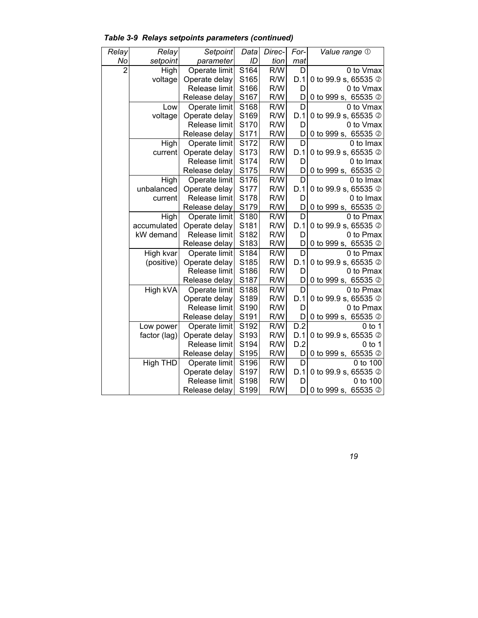| Relay          | Relay        | Setpoint      | Data | Direc- | For-             | Value range 1          |
|----------------|--------------|---------------|------|--------|------------------|------------------------|
| No             | setpoint     | parameter     | ID   | tion   | mat              |                        |
| $\overline{2}$ | High         | Operate limit | S164 | R/W    | D                | 0 to Vmax              |
|                | voltage      | Operate delay | S165 | R/W    | D.1              | 0 to 99.9 s, 65535 2   |
|                |              | Release limit | S166 | R/W    | D                | 0 to Vmax              |
|                |              | Release delay | S167 | R/W    | D                | 0 to 999 s, 65535 2    |
|                | Low          | Operate limit | S168 | R/W    | D                | 0 to Vmax              |
|                | voltage      | Operate delay | S169 | R/W    | D.1              | 0 to 99.9 s, 65535 2   |
|                |              | Release limit | S170 | R/W    | D                | 0 to Vmax              |
|                |              | Release delay | S171 | R/W    | D                | 0 to 999 s, 65535 2    |
|                | High         | Operate limit | S172 | R/W    | D                | 0 to Imax              |
|                | current      | Operate delay | S173 | R/W    | D.1              | 0 to 99.9 s, 65535 2   |
|                |              | Release limit | S174 | R/W    | D                | 0 to Imax              |
|                |              | Release delay | S175 | R/W    | D                | 0 to 999 s,<br>65535 2 |
|                | High         | Operate limit | S176 | R/W    | D                | 0 to Imax              |
|                | unbalanced   | Operate delay | S177 | R/W    | D.1              | 0 to 99.9 s, 65535 2   |
|                | current      | Release limit | S178 | R/W    | D                | 0 to Imax              |
|                |              | Release delay | S179 | R/W    | D                | 0 to 999 s, 65535 2    |
|                | High         | Operate limit | S180 | R/W    | D                | 0 to Pmax              |
|                | accumulated  | Operate delay | S181 | R/W    | D.1              | 0 to 99.9 s, 65535 2   |
|                | kW demand    | Release limit | S182 | R/W    | D                | 0 to Pmax              |
|                |              | Release delay | S183 | R/W    | D                | 0 to 999 s, 65535 2    |
|                | High kvar    | Operate limit | S184 | R/W    | D                | 0 to Pmax              |
|                | (positive)   | Operate delay | S185 | R/W    | D.1              | 0 to 99.9 s, 65535 2   |
|                |              | Release limit | S186 | R/W    | D                | 0 to Pmax              |
|                |              | Release delay | S187 | R/W    | D                | 0 to 999 s, 65535 2    |
|                | High kVA     | Operate limit | S188 | R/W    | D                | 0 to Pmax              |
|                |              | Operate delay | S189 | R/W    | D.1              | 0 to 99.9 s, 65535 2   |
|                |              | Release limit | S190 | R/W    | D                | 0 to Pmax              |
|                |              | Release delay | S191 | R/W    | D                | 0 to 999 s, 65535 2    |
|                | Low power    | Operate limit | S192 | R/W    | $\overline{D.2}$ | $0$ to 1               |
|                | factor (lag) | Operate delay | S193 | R/W    | D.1              | 0 to 99.9 s, 65535 2   |
|                |              | Release limit | S194 | R/W    | D.2              | 0 to 1                 |
|                |              | Release delay | S195 | R/W    | D                | 0 to 999 s, 65535 2    |
|                | High THD     | Operate limit | S196 | R/W    | D                | 0 to 100               |
|                |              | Operate delay | S197 | R/W    | D.1              | 0 to 99.9 s, 65535 2   |
|                |              | Release limit | S198 | R/W    | D                | 0 to 100               |
|                |              | Release delay | S199 | R/W    | D                | 0 to 999 s, 65535 2    |

 *Table 3-9 Relays setpoints parameters (continued)*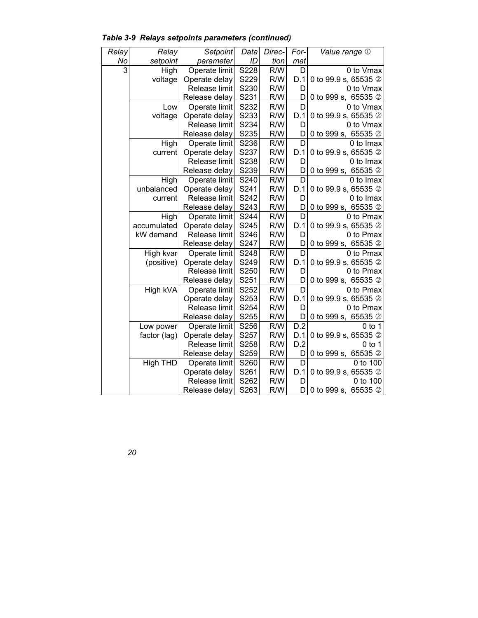| Relay | Relay        | Setpoint      | Data | Direc- | For- | Value range 1                     |
|-------|--------------|---------------|------|--------|------|-----------------------------------|
| No    | setpoint     | parameter     | ID   | tion   | mat  |                                   |
| 3     | High         | Operate limit | S228 | R/W    | D    | 0 to Vmax                         |
|       | voltage      | Operate delay | S229 | R/W    | D.1  | 0 to 99.9 s, 65535 2              |
|       |              | Release limit | S230 | R/W    | D    | 0 to Vmax                         |
|       |              | Release delay | S231 | R/W    | D    | 0 to 999 s, 65535 2               |
|       | Low          | Operate limit | S232 | R/W    | D    | 0 to Vmax                         |
|       | voltage      | Operate delay | S233 | R/W    | D.1  | 0 to 99.9 s, 65535 2              |
|       |              | Release limit | S234 | R/W    | D    | 0 to Vmax                         |
|       |              | Release delay | S235 | R/W    | D    | 0 to 999 s, 65535 2               |
|       | High         | Operate limit | S236 | R/W    | D    | 0 to Imax                         |
|       | current      | Operate delay | S237 | R/W    | D.1  | 0 to 99.9 s, 65535 2              |
|       |              | Release limit | S238 | R/W    | D    | 0 to Imax                         |
|       |              | Release delay | S239 | R/W    | D    | 0 to 999 s,<br>65535 <sup>2</sup> |
|       | High         | Operate limit | S240 | R/W    | D    | 0 to Imax                         |
|       | unbalanced   | Operate delay | S241 | R/W    | D.1  | 0 to 99.9 s, 65535 2              |
|       | current      | Release limit | S242 | R/W    | D    | 0 to Imax                         |
|       |              | Release delay | S243 | R/W    | D    | 0 to 999 s, 65535 2               |
|       | High         | Operate limit | S244 | R/W    | D    | 0 to Pmax                         |
|       | accumulated  | Operate delay | S245 | R/W    | D.1  | 0 to 99.9 s, 65535 2              |
|       | kW demand    | Release limit | S246 | R/W    | D    | 0 to Pmax                         |
|       |              | Release delay | S247 | R/W    | D    | 0 to 999 s, 65535 2               |
|       | High kvar    | Operate limit | S248 | R/W    | D    | 0 to Pmax                         |
|       | (positive)   | Operate delay | S249 | R/W    | D.1  | 0 to 99.9 s, 65535 2              |
|       |              | Release limit | S250 | R/W    | D    | 0 to Pmax                         |
|       |              | Release delay | S251 | R/W    | D    | 0 to 999 s, 65535 2               |
|       | High kVA     | Operate limit | S252 | R/W    | D    | 0 to Pmax                         |
|       |              | Operate delay | S253 | R/W    | D.1  | 0 to 99.9 s, 65535 2              |
|       |              | Release limit | S254 | R/W    | D    | 0 to Pmax                         |
|       |              | Release delay | S255 | R/W    | D    | 0 to 999 s, 65535 2               |
|       | Low power    | Operate limit | S256 | R/W    | D.2  | $0$ to 1                          |
|       | factor (lag) | Operate delay | S257 | R/W    | D.1  | 0 to 99.9 s, 65535 2              |
|       |              | Release limit | S258 | R/W    | D.2  | $0$ to 1                          |
|       |              | Release delay | S259 | R/W    | D    | 0 to 999 s, 65535 2               |
|       | High THD     | Operate limit | S260 | R/W    | D    | 0 to 100                          |
|       |              | Operate delay | S261 | R/W    | D.1  | 0 to 99.9 s, 65535 2              |
|       |              | Release limit | S262 | R/W    | D    | 0 to 100                          |
|       |              | Release delay | S263 | R/W    | D    | 0 to 999 s, 65535 2               |

*Table 3-9 Relays setpoints parameters (continued)*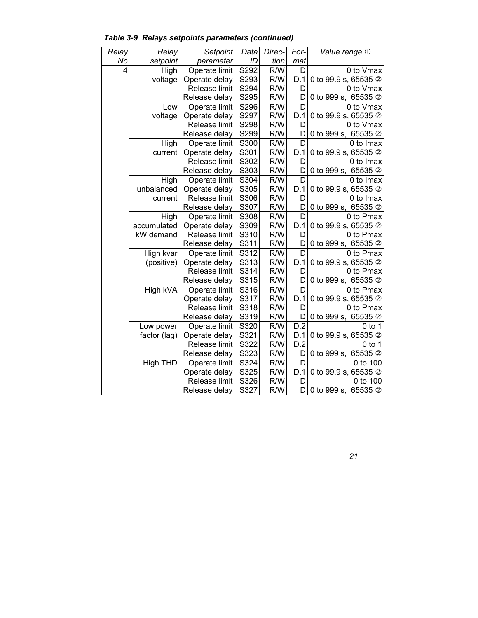| Relay | Relay        | Setpoint      | Data | Direc- | For- | Value range 1                     |
|-------|--------------|---------------|------|--------|------|-----------------------------------|
| No    | setpoint     | parameter     | ID   | tion   | mat  |                                   |
| 4     | High         | Operate limit | S292 | R/W    | D    | 0 to Vmax                         |
|       | voltage      | Operate delay | S293 | R/W    | D.1  | 0 to 99.9 s, 65535 2              |
|       |              | Release limit | S294 | R/W    | D    | 0 to Vmax                         |
|       |              | Release delay | S295 | R/W    | D    | 0 to 999 s, 65535 2               |
|       | Low          | Operate limit | S296 | R/W    | D    | 0 to Vmax                         |
|       | voltage      | Operate delay | S297 | R/W    | D.1  | 0 to 99.9 s, 65535 2              |
|       |              | Release limit | S298 | R/W    | D    | 0 to Vmax                         |
|       |              | Release delay | S299 | R/W    | D    | 0 to 999 s,<br>65535 <sup>2</sup> |
|       | High         | Operate limit | S300 | R/W    | D    | 0 to Imax                         |
|       | current      | Operate delay | S301 | R/W    | D.1  | 0 to 99.9 s, 65535 2              |
|       |              | Release limit | S302 | R/W    | D    | 0 to Imax                         |
|       |              | Release delay | S303 | R/W    | D    | 0 to 999 s,<br>65535 <sup>2</sup> |
|       | High         | Operate limit | S304 | R/W    | D    | 0 to Imax                         |
|       | unbalanced   | Operate delay | S305 | R/W    | D.1  | 0 to 99.9 s, 65535 2              |
|       | current      | Release limit | S306 | R/W    | D    | 0 to Imax                         |
|       |              | Release delay | S307 | R/W    | D    | 0 to 999 s, 65535 2               |
|       | High         | Operate limit | S308 | R/W    | D    | 0 to Pmax                         |
|       | accumulated  | Operate delay | S309 | R/W    | D.1  | 0 to 99.9 s, 65535 2              |
|       | kW demand    | Release limit | S310 | R/W    | D    | 0 to Pmax                         |
|       |              | Release delay | S311 | R/W    | D    | 0 to 999 s, 65535 2               |
|       | High kvar    | Operate limit | S312 | R/W    | D    | 0 to Pmax                         |
|       | (positive)   | Operate delay | S313 | R/W    | D.1  | 0 to 99.9 s, 65535 2              |
|       |              | Release limit | S314 | R/W    | D    | 0 to Pmax                         |
|       |              | Release delay | S315 | R/W    | D    | 0 to 999 s, 65535 2               |
|       | High kVA     | Operate limit | S316 | R/W    | D    | 0 to Pmax                         |
|       |              | Operate delay | S317 | R/W    | D.1  | 0 to 99.9 s, 65535 2              |
|       |              | Release limit | S318 | R/W    | D    | 0 to Pmax                         |
|       |              | Release delay | S319 | R/W    | D    | 0 to 999 s, 65535 2               |
|       | Low power    | Operate limit | S320 | R/W    | D.2  | $0$ to 1                          |
|       | factor (lag) | Operate delay | S321 | R/W    | D.1  | 0 to 99.9 s, 65535 2              |
|       |              | Release limit | S322 | R/W    | D.2  | $0$ to 1                          |
|       |              | Release delay | S323 | R/W    | D    | 0 to 999 s, 65535 2               |
|       | High THD     | Operate limit | S324 | R/W    | D    | 0 to 100                          |
|       |              | Operate delay | S325 | R/W    | D.1  | 0 to 99.9 s, 65535 2              |
|       |              | Release limit | S326 | R/W    | D    | 0 to 100                          |
|       |              | Release delay | S327 | R/W    | D    | 0 to 999 s, 65535 2               |

 *Table 3-9 Relays setpoints parameters (continued)*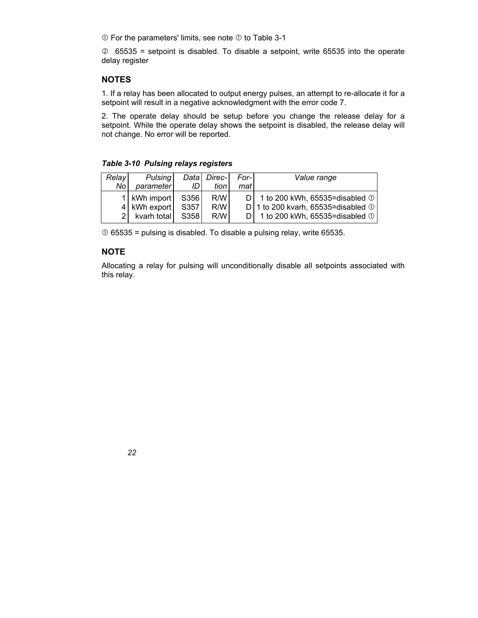$\odot$  For the parameters' limits, see note  $\odot$  to Table 3-1

 $\oslash$  65535 = setpoint is disabled. To disable a setpoint, write 65535 into the operate delay register

#### **NOTES**

1. If a relay has been allocated to output energy pulses, an attempt to re-allocate it for a setpoint will result in a negative acknowledgment with the error code 7.

2. The operate delay should be setup before you change the release delay for a setpoint. While the operate delay shows the setpoint is disabled, the release delay will not change. No error will be reported.

#### *Table 3-10 Pulsing relays registers*

| Relay | Pulsing        |      | Data Direc- | For- | Value range                                |
|-------|----------------|------|-------------|------|--------------------------------------------|
| No l  | parameter      | ID I | tion l      | mat  |                                            |
|       | 1   kWh import | S356 | R/W         |      | D   1 to 200 kWh, 65535=disabled $\odot$   |
|       | 4 kWh export   | S357 | R/W         |      | D   1 to 200 kvarh, 65535=disabled $\odot$ |
|       | 2 kvarh total  | S358 | R/W         |      | D   1 to 200 kWh, 65535=disabled $\odot$   |

 $\odot$  65535 = pulsing is disabled. To disable a pulsing relay, write 65535.

#### **NOTE**

Allocating a relay for pulsing will unconditionally disable all setpoints associated with this relay.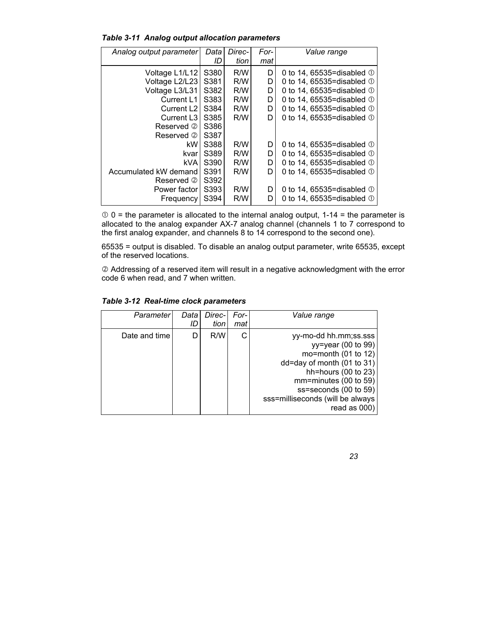|  | <b>Table 3-11 Analog output allocation parameters</b> |  |  |
|--|-------------------------------------------------------|--|--|
|--|-------------------------------------------------------|--|--|

| Analog output parameter | Data | Direc- | For- | Value range                     |
|-------------------------|------|--------|------|---------------------------------|
|                         | ID   | tion   | mat  |                                 |
| Voltage L1/L12          | S380 | R/W    | D    | 0 to 14, 65535=disabled $\odot$ |
| Voltage L2/L23          | S381 | R/W    | D    | 0 to 14, 65535=disabled $\odot$ |
| Voltage L3/L31          | S382 | R/W    | D    | 0 to 14, 65535=disabled ①       |
| Current L1              | S383 | R/W    | D    | 0 to 14, 65535=disabled ①       |
| Current L <sub>2</sub>  | S384 | R/W    | D    | 0 to 14, 65535=disabled $\odot$ |
| Current L <sub>3</sub>  | S385 | R/W    | D    | 0 to 14, 65535=disabled $\odot$ |
| Reserved 2              | S386 |        |      |                                 |
| Reserved 2              | S387 |        |      |                                 |
| kW.                     | S388 | R/W    | D    | 0 to 14, 65535=disabled ①       |
| kvar                    | S389 | R/W    | D    | 0 to 14, 65535=disabled $\odot$ |
| kVA                     | S390 | R/W    | D    | 0 to 14, 65535=disabled $\odot$ |
| Accumulated kW demand   | S391 | R/W    | D    | 0 to 14, 65535=disabled ①       |
| Reserved 2              | S392 |        |      |                                 |
| Power factor            | S393 | R/W    | D    | 0 to 14, 65535=disabled $\odot$ |
| Frequency               | S394 | R/W    | D    | 0 to 14, 65535=disabled ①       |

 $\degree$  0 = the parameter is allocated to the internal analog output, 1-14 = the parameter is allocated to the analog expander AX-7 analog channel (channels 1 to 7 correspond to the first analog expander, and channels 8 to 14 correspond to the second one).

65535 = output is disabled. To disable an analog output parameter, write 65535, except of the reserved locations.

d Addressing of a reserved item will result in a negative acknowledgment with the error code 6 when read, and 7 when written.

| Parameterl    | Data | Direc-<br>tion | For-<br>mat | Value range                                                                                                                                                                                                                               |
|---------------|------|----------------|-------------|-------------------------------------------------------------------------------------------------------------------------------------------------------------------------------------------------------------------------------------------|
| Date and time |      | R/W            |             | yy-mo-dd hh.mm;ss.sss<br>$yy = year (00 to 99)$<br>mo=month $(01$ to $12)$<br>dd=day of month (01 to 31)<br>hh=hours (00 to 23)<br>$mm = minutes (00 to 59)$<br>ss=seconds (00 to 59)<br>sss=milliseconds (will be always<br>read as 000) |

*Table 3-12 Real-time clock parameters*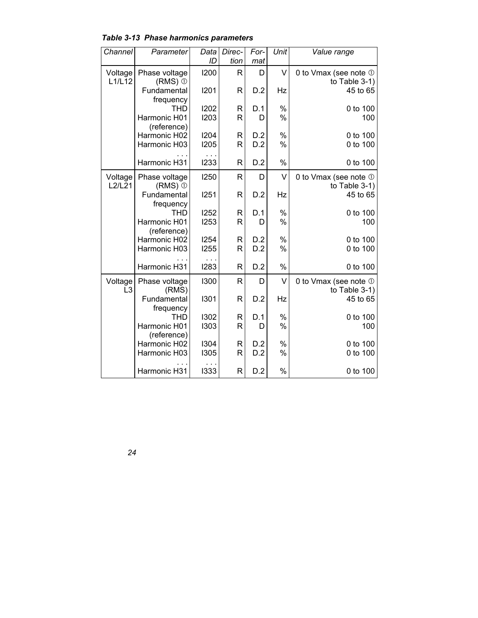| Channel        | Parameter                   | Data        | Direc-       | For- | Unit      | Value range           |
|----------------|-----------------------------|-------------|--------------|------|-----------|-----------------------|
|                |                             | ID          | tion         | mat  |           |                       |
| Voltage        | Phase voltage               | 1200        | R            | D    | V         | 0 to Vmax (see note 1 |
| L1/L12         | $(RMS)$ $\odot$             |             |              |      |           | to Table $3-1$ )      |
|                | Fundamental                 | 1201        | R            | D.2  | Hz        | 45 to 65              |
|                | frequency                   |             |              |      |           |                       |
|                | <b>THD</b>                  | 1202        | R            | D.1  | $\%$      | 0 to 100              |
|                | Harmonic H01                | 1203        | R            | D    | $\%$      | 100                   |
|                | (reference)<br>Harmonic H02 | 1204        | R            | D.2  | %         | 0 to 100              |
|                | Harmonic H03                | <b>I205</b> | R            | D.2  | %         | 0 to 100              |
|                |                             |             |              |      |           |                       |
|                | Harmonic H31                | 1233        | $\mathsf{R}$ | D.2  | $\%$      | 0 to 100              |
| Voltage        | Phase voltage               | 1250        | R            | D    | V         | 0 to Vmax (see note 1 |
| L2/L21         | $(RMS)$ $\odot$             |             |              |      |           | to Table 3-1)         |
|                | Fundamental                 | 1251        | R            | D.2  | Hz        | 45 to 65              |
|                | frequency                   |             |              |      |           |                       |
|                | <b>THD</b>                  | 1252        | R            | D.1  | %         | 0 to 100              |
|                | Harmonic H01                | 1253        | R            | D    | $\%$      | 100                   |
|                | (reference)                 |             |              |      |           |                       |
|                | Harmonic H02                | 1254        | R            | D.2  | $\%$<br>% | 0 to 100              |
|                | Harmonic H03                | <b>1255</b> | R            | D.2  |           | 0 to 100              |
|                | Harmonic H31                | .<br>1283   | $\mathsf{R}$ | D.2  | $\%$      | 0 to 100              |
| Voltage        | Phase voltage               | 1300        | R            | D    | V         | 0 to Vmax (see note 1 |
| L <sub>3</sub> | (RMS)                       |             |              |      |           | to Table $3-1$ )      |
|                | Fundamental                 | 1301        | R            | D.2  | Hz        | 45 to 65              |
|                | frequency                   |             |              |      |           |                       |
|                | <b>THD</b>                  | 1302        | R            | D.1  | $\%$      | 0 to 100              |
|                | Harmonic H01                | 1303        | R            | D    | $\%$      | 100                   |
|                | (reference)                 |             |              |      |           |                       |
|                | Harmonic H02                | 1304        | R            | D.2  | %         | 0 to 100              |
|                | Harmonic H03                | 1305        | $\mathsf{R}$ | D.2  | %         | 0 to 100              |
|                | Harmonic H31                | 1333        | $\mathsf{R}$ | D.2  | %         | 0 to 100              |

*Table 3-13 Phase harmonics parameters*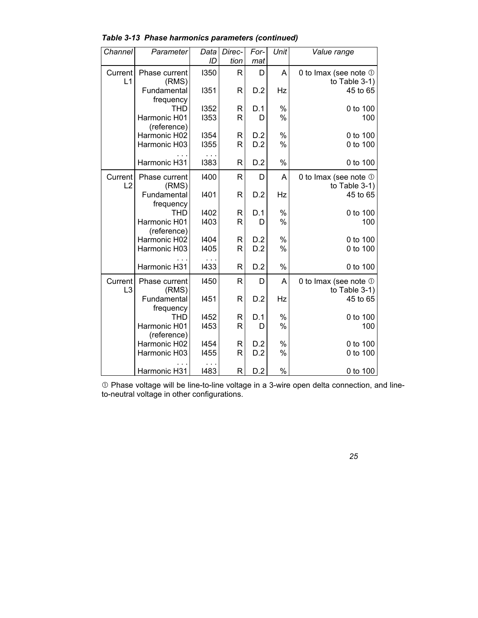| Channel                   | Parameter                    | Data         | Direc-            | For-       | Unit          | Value range                               |
|---------------------------|------------------------------|--------------|-------------------|------------|---------------|-------------------------------------------|
| Current                   | Phase current                | ID<br>1350   | tion<br>R         | mat<br>D   | A             | 0 to Imax (see note 1                     |
| L1                        | (RMS)<br>Fundamental         | 1351         | R                 | D.2        | Hz            | to Table $3-1$ )<br>45 to 65              |
|                           | frequency<br><b>THD</b>      | 1352         | R                 | D.1        | %             | 0 to 100                                  |
|                           | Harmonic H01<br>(reference)  | 1353         | R                 | D          | $\frac{0}{0}$ | 100                                       |
|                           | Harmonic H02<br>Harmonic H03 | 1354<br>1355 | R<br>R            | D.2<br>D.2 | %<br>%        | 0 to 100<br>0 to 100                      |
|                           | Harmonic H31                 | 1383         | R                 | D.2        | %             | 0 to 100                                  |
|                           |                              |              |                   |            |               |                                           |
| Current<br>L2             | Phase current<br>(RMS)       | 1400         | R                 | D          | A             | 0 to Imax (see note 1<br>to Table 3-1)    |
|                           | Fundamental<br>frequency     | 1401         | R                 | D.2        | Hz            | 45 to 65                                  |
|                           | <b>THD</b>                   | 1402         | R                 | D.1        | %             | 0 to 100                                  |
|                           | Harmonic H01<br>(reference)  | 1403         | R                 | D          | $\%$          | 100                                       |
|                           | Harmonic H02<br>Harmonic H03 | 1404<br>1405 | R<br>R            | D.2<br>D.2 | %<br>%        | 0 to 100<br>0 to 100                      |
|                           |                              |              |                   |            |               |                                           |
|                           | Harmonic H31                 | 1433         | R                 | D.2        | %             | 0 to 100                                  |
| Current<br>L <sub>3</sub> | Phase current<br>(RMS)       | 1450         | R                 | D          | A             | 0 to Imax (see note 1<br>to Table $3-1$ ) |
|                           | Fundamental                  | 1451         | R                 | D.2        | Hz            | 45 to 65                                  |
|                           | frequency<br><b>THD</b>      | 1452         | R                 | D.1        | $\%$          | 0 to 100                                  |
|                           | Harmonic H01<br>(reference)  | 1453         | $\mathsf{R}$      | D          | $\frac{0}{0}$ | 100                                       |
|                           | Harmonic H02<br>Harmonic H03 | 1454<br>1455 | R<br>$\mathsf{R}$ | D.2<br>D.2 | $\%$<br>%     | 0 to 100<br>0 to 100                      |
|                           |                              |              |                   |            |               |                                           |
|                           | Harmonic H31                 | 1483         | R                 | D.2        | $\%$          | 0 to 100                                  |

*Table 3-13 Phase harmonics parameters (continued)* 

 $\Phi$  Phase voltage will be line-to-line voltage in a 3-wire open delta connection, and lineto-neutral voltage in other configurations.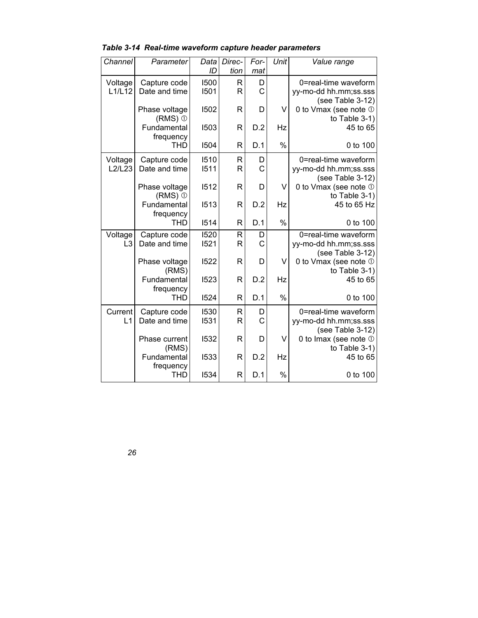| Channel        | Parameter            | Data | Direc-       | For-        | Unit          | Value range                               |
|----------------|----------------------|------|--------------|-------------|---------------|-------------------------------------------|
|                |                      | ID   | tion         | mat         |               |                                           |
| Voltage        | Capture code         | 1500 | R            | D           |               | 0=real-time waveform                      |
| L1/L12         | Date and time        | 1501 | $\mathsf{R}$ | $\mathsf C$ |               | yy-mo-dd hh.mm;ss.sss                     |
|                |                      |      |              |             |               | (see Table 3-12)                          |
|                | Phase voltage        | 1502 | R            | D           | V             | 0 to Vmax (see note 1                     |
|                | $(RMS)$ $\odot$      |      |              |             |               | to Table $3-1$ )                          |
|                | Fundamental          | 1503 | R            | D.2         | Hz            | 45 to 65                                  |
|                | frequency            |      |              |             |               |                                           |
|                | <b>THD</b>           | 1504 | R            | D.1         | $\frac{0}{0}$ | 0 to 100                                  |
| Voltage        | Capture code         | 1510 | R            | D           |               | 0=real-time waveform                      |
| L2/L23         | Date and time        | 1511 | R            | C           |               | yy-mo-dd hh.mm;ss.sss                     |
|                |                      |      |              |             |               | (see Table 3-12)                          |
|                | Phase voltage        | 1512 | R            | D           | V             | 0 to Vmax (see note 1                     |
|                | $(RMS)$ $\odot$      |      |              |             |               | to Table $3-1$ )                          |
|                | Fundamental          | 1513 | R            | D.2         | Hz            | 45 to 65 Hz                               |
|                | frequency            |      |              |             |               |                                           |
|                | <b>THD</b>           | 1514 | R            | D.1         | $\%$          | 0 to 100                                  |
| Voltage        | Capture code         | 1520 | $\mathsf{R}$ | D           |               | 0=real-time waveform                      |
| L <sub>3</sub> | Date and time        | 1521 | R            | C           |               | yy-mo-dd hh.mm;ss.sss                     |
|                |                      |      |              |             |               | (see Table 3-12)                          |
|                | Phase voltage        | 1522 | R            | D           | V             | 0 to Vmax (see note 1                     |
|                | (RMS)<br>Fundamental | 1523 | R            | D.2         | Hz            | to Table $3-1$ )<br>45 to 65              |
|                | frequency            |      |              |             |               |                                           |
|                | <b>THD</b>           | 1524 | R            | D.1         | $\%$          | 0 to 100                                  |
|                |                      |      |              |             |               |                                           |
| Current        | Capture code         | 1530 | R            | D           |               | 0=real-time waveform                      |
| L1             | Date and time        | 1531 | R            | $\mathsf C$ |               | yy-mo-dd hh.mm;ss.sss                     |
|                | Phase current        | 1532 | R            | D           | V             | (see Table 3-12)<br>0 to Imax (see note 1 |
|                | (RMS)                |      |              |             |               | to Table $3-1$ )                          |
|                | Fundamental          | 1533 | $\mathsf{R}$ | D.2         | Hz            | 45 to 65                                  |
|                | frequency            |      |              |             |               |                                           |
|                | <b>THD</b>           | 1534 | R            | D.1         | $\%$          | 0 to 100                                  |

*Table 3-14 Real-time waveform capture header parameters*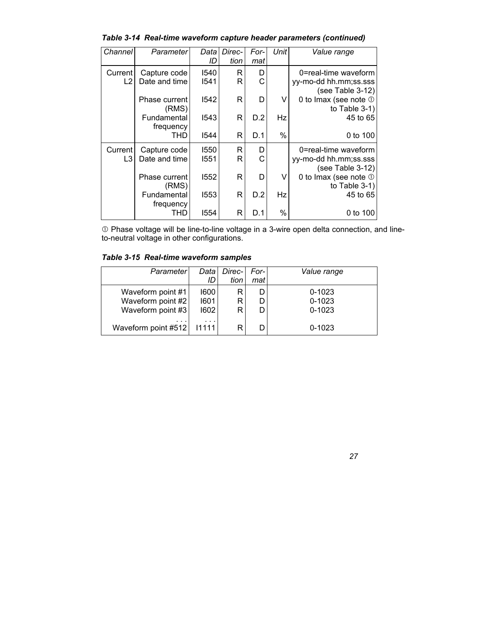*Table 3-14 Real-time waveform capture header parameters (continued)* 

| Channel        | Parameter     | Datal | Direc- | For- | Unit | Value range           |
|----------------|---------------|-------|--------|------|------|-----------------------|
|                |               | ID    | tion   | mat  |      |                       |
| Current        | Capture code  | 1540  | R      | D    |      | 0=real-time waveform  |
| L <sub>2</sub> | Date and time | 1541  | R      | C    |      | yy-mo-dd hh.mm;ss.sss |
|                |               |       |        |      |      | (see Table 3-12)      |
|                | Phase current | 1542  | R      | D    | v    | 0 to Imax (see note 1 |
|                | (RMS)         |       |        |      |      | to Table $3-1$        |
|                | Fundamental   | 1543  | R      | D.2  | Hz   | 45 to 65              |
|                | frequency     |       |        |      |      |                       |
|                | THD           | 1544  | R      | D.1  | %    | 0 to 100              |
| Current        | Capture code  | 1550  | R      | D    |      | 0=real-time waveform  |
| L3             | Date and time | 1551  | R      | C    |      | yy-mo-dd hh.mm;ss.sss |
|                |               |       |        |      |      | (see Table 3-12)      |
|                | Phase current | 1552  | R      | D    | v    | 0 to Imax (see note 1 |
|                | (RMS)         |       |        |      |      | to Table $3-1$ )      |
|                | Fundamental   | 1553  | R      | D.2  | Hz   | 45 to 65              |
|                | frequency     |       |        |      |      |                       |
|                | THD           | 1554  | R      | D.1  | %    | 0 to 100              |

c Phase voltage will be line-to-line voltage in a 3-wire open delta connection, and lineto-neutral voltage in other configurations.

*Table 3-15 Real-time waveform samples* 

| Parameter                              | Data<br>ID   | Direc-<br>tion | For-1<br>mat | Value range              |
|----------------------------------------|--------------|----------------|--------------|--------------------------|
| Waveform point #1                      | 1600         | R              | D            | $0 - 1023$               |
| Waveform point #2<br>Waveform point #3 | 1601<br>1602 | R<br>R         | D<br>D       | $0 - 1023$<br>$0 - 1023$ |
| $\cdots$                               | $\cdots$     |                |              |                          |
| Waveform point #512                    | 11111        | R              | D            | $0 - 1023$               |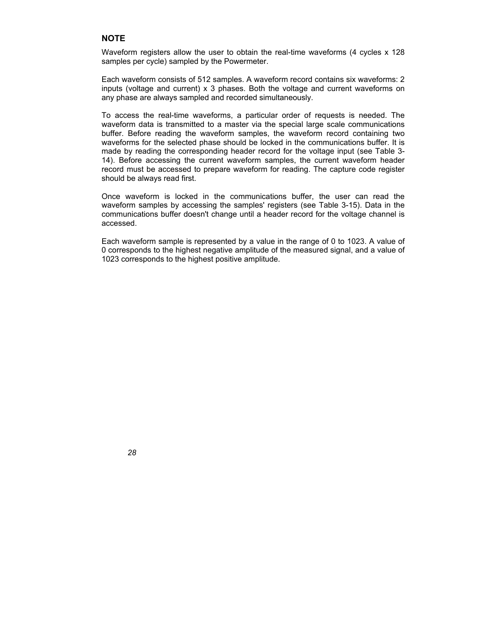#### **NOTE**

Waveform registers allow the user to obtain the real-time waveforms (4 cycles x 128 samples per cycle) sampled by the Powermeter.

Each waveform consists of 512 samples. A waveform record contains six waveforms: 2 inputs (voltage and current) x 3 phases. Both the voltage and current waveforms on any phase are always sampled and recorded simultaneously.

To access the real-time waveforms, a particular order of requests is needed. The waveform data is transmitted to a master via the special large scale communications buffer. Before reading the waveform samples, the waveform record containing two waveforms for the selected phase should be locked in the communications buffer. It is made by reading the corresponding header record for the voltage input (see Table 3- 14). Before accessing the current waveform samples, the current waveform header record must be accessed to prepare waveform for reading. The capture code register should be always read first.

Once waveform is locked in the communications buffer, the user can read the waveform samples by accessing the samples' registers (see Table 3-15). Data in the communications buffer doesn't change until a header record for the voltage channel is accessed.

Each waveform sample is represented by a value in the range of 0 to 1023. A value of 0 corresponds to the highest negative amplitude of the measured signal, and a value of 1023 corresponds to the highest positive amplitude.